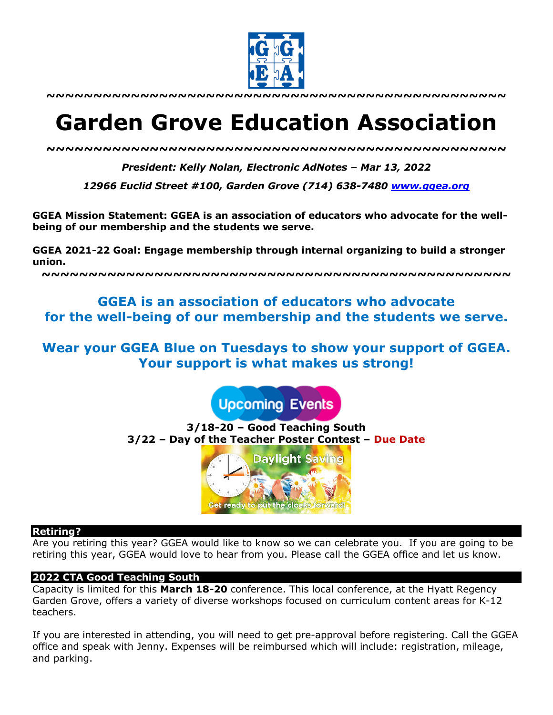

**~~~~~~~~~~~~~~~~~~~~~~~~~~~~~~~~~~~~~~~~~~~~~~~~~**

# **Garden Grove Education Association**

*~~~~~~~~~~~~~~~~~~~~~~~~~~~~~~~~~~~~~~~~~~~~~~~~~*

*President: Kelly Nolan, Electronic AdNotes – Mar 13, 2022*

*12966 Euclid Street #100, Garden Grove (714) 638-7480 www.ggea.org*

**GGEA Mission Statement: GGEA is an association of educators who advocate for the wellbeing of our membership and the students we serve.** 

**GGEA 2021-22 Goal: Engage membership through internal organizing to build a stronger union.**

**~~~~~~~~~~~~~~~~~~~~~~~~~~~~~~~~~~~~~~~~~~~~~~~~~~**

# **GGEA is an association of educators who advocate for the well-being of our membership and the students we serve.**

**Wear your GGEA Blue on Tuesdays to show your support of GGEA. Your support is what makes us strong!**

**Upcoming Events** 

**3/18-20 – Good Teaching South 3/22 – Day of the Teacher Poster Contest – Due Date**



#### **Retiring?**

Are you retiring this year? GGEA would like to know so we can celebrate you. If you are going to be retiring this year, GGEA would love to hear from you. Please call the GGEA office and let us know.

#### **2022 CTA Good Teaching South**

Capacity is limited for this **March 18-20** conference. This local conference, at the Hyatt Regency Garden Grove, offers a variety of diverse workshops focused on curriculum content areas for K-12 teachers.

If you are interested in attending, you will need to get pre-approval before registering. Call the GGEA office and speak with Jenny. Expenses will be reimbursed which will include: registration, mileage, and parking.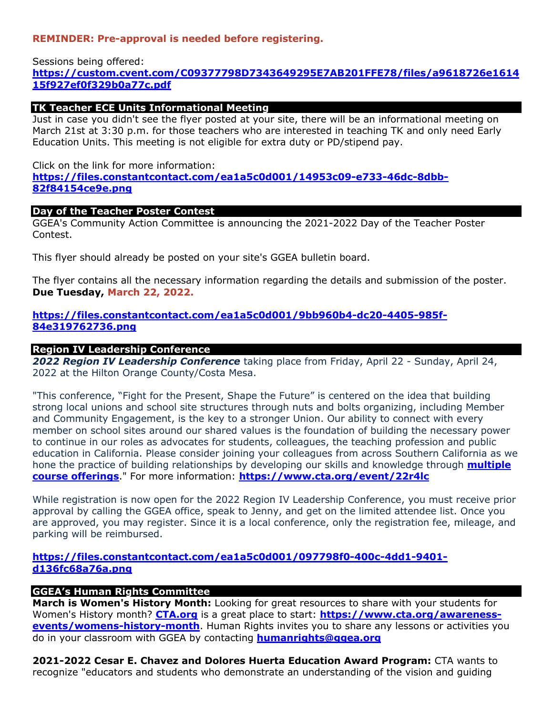# **REMINDER: Pre-approval is needed before registering.**

#### Sessions being offered: **https://custom.cvent.com/C09377798D7343649295E7AB201FFE78/files/a9618726e1614 15f927ef0f329b0a77c.pdf**

# **TK Teacher ECE Units Informational Meeting**

Just in case you didn't see the flyer posted at your site, there will be an informational meeting on March 21st at 3:30 p.m. for those teachers who are interested in teaching TK and only need Early Education Units. This meeting is not eligible for extra duty or PD/stipend pay.

#### Click on the link for more information:

**https://files.constantcontact.com/ea1a5c0d001/14953c09-e733-46dc-8dbb-82f84154ce9e.png**

#### **Day of the Teacher Poster Contest**

GGEA's Community Action Committee is announcing the 2021-2022 Day of the Teacher Poster Contest.

This flyer should already be posted on your site's GGEA bulletin board.

The flyer contains all the necessary information regarding the details and submission of the poster. **Due Tuesday, March 22, 2022.**

# **https://files.constantcontact.com/ea1a5c0d001/9bb960b4-dc20-4405-985f-84e319762736.png**

#### **Region IV Leadership Conference**

*2022 Region IV Leadership Conference* taking place from Friday, April 22 - Sunday, April 24, 2022 at the Hilton Orange County/Costa Mesa.

"This conference, "Fight for the Present, Shape the Future" is centered on the idea that building strong local unions and school site structures through nuts and bolts organizing, including Member and Community Engagement, is the key to a stronger Union. Our ability to connect with every member on school sites around our shared values is the foundation of building the necessary power to continue in our roles as advocates for students, colleagues, the teaching profession and public education in California. Please consider joining your colleagues from across Southern California as we hone the practice of building relationships by developing our skills and knowledge through **multiple course offerings**." For more information: **https://www.cta.org/event/22r4lc**

While registration is now open for the 2022 Region IV Leadership Conference, you must receive prior approval by calling the GGEA office, speak to Jenny, and get on the limited attendee list. Once you are approved, you may register. Since it is a local conference, only the registration fee, mileage, and parking will be reimbursed.

# **https://files.constantcontact.com/ea1a5c0d001/097798f0-400c-4dd1-9401 d136fc68a76a.png**

# **GGEA's Human Rights Committee**

**March is Women's History Month:** Looking for great resources to share with your students for Women's History month? **CTA.org** is a great place to start: **https://www.cta.org/awarenessevents/womens-history-month**. Human Rights invites you to share any lessons or activities you do in your classroom with GGEA by contacting **humanrights@ggea.org**

**2021-2022 Cesar E. Chavez and Dolores Huerta Education Award Program:** CTA wants to recognize "educators and students who demonstrate an understanding of the vision and guiding